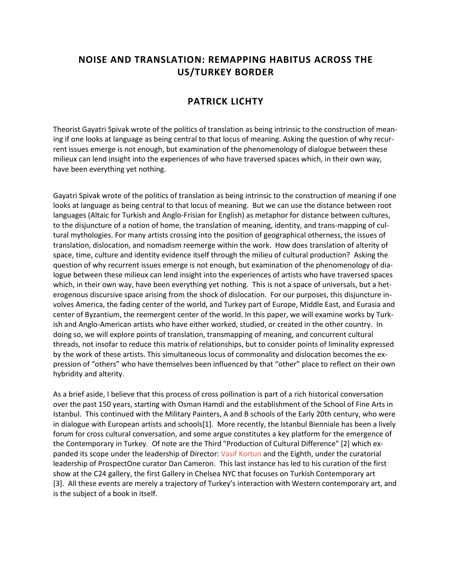## **NOISE AND TRANSLATION: REMAPPING HABITUS ACROSS THE US/TURKEY BORDER**

## **PATRICK LICHTY**

Theorist Gayatri Spivak wrote of the politics of translation as being intrinsic to the construction of meaning if one looks at language as being central to that locus of meaning. Asking the question of why recurrent issues emerge is not enough, but examination of the phenomenology of dialogue between these milieux can lend insight into the experiences of who have traversed spaces which, in their own way, have been everything yet nothing.

Gayatri Spivak wrote of the politics of translation as being intrinsic to the construction of meaning if one looks at language as being central to that locus of meaning. But we can use the distance between root languages (Altaic for Turkish and Anglo-Frisian for English) as metaphor for distance between cultures, to the disjuncture of a notion of home, the translation of meaning, identity, and trans-mapping of cultural mythologies. For many artists crossing into the position of geographical otherness, the issues of translation, dislocation, and nomadism reemerge within the work. How does translation of alterity of space, time, culture and identity evidence itself through the milieu of cultural production? Asking the question of why recurrent issues emerge is not enough, but examination of the phenomenology of dialogue between these milieux can lend insight into the experiences of artists who have traversed spaces which, in their own way, have been everything yet nothing. This is not a space of universals, but a heterogenous discursive space arising from the shock of dislocation. For our purposes, this disjuncture involves America, the fading center of the world, and Turkey part of Europe, Middle East, and Eurasia and center of Byzantium, the reemergent center of the world. In this paper, we will examine works by Turkish and Anglo-American artists who have either worked, studied, or created in the other country. In doing so, we will explore points of translation, transmapping of meaning, and concurrent cultural threads, not insofar to reduce this matrix of relationships, but to consider points of liminality expressed by the work of these artists. This simultaneous locus of commonality and dislocation becomes the expression of "others" who have themselves been influenced by that "other" place to reflect on their own hybridity and alterity.

As a brief aside, I believe that this process of cross pollination is part of a rich historical conversation over the past 150 years, starting with Osman Hamdi and the establishment of the School of Fine Arts in Istanbul. This continued with the Military Painters, A and B schools of the Early 20th century, who were in dialogue with European artists and schools[1]. More recently, the Istanbul Bienniale has been a lively forum for cross cultural conversation, and some argue constitutes a key platform for the emergence of the Contemporary in Turkey. Of note are the Third "Production of Cultural Difference" [2] which expanded its scope under the leadership of Director: [Vasif Kortun](http://en.wikipedia.org/wiki/Vasif_Kortun) and the Eighth, under the curatorial leadership of ProspectOne curator Dan Cameron. This last instance has led to his curation of the first show at the C24 gallery, the first Gallery in Chelsea NYC that focuses on Turkish Contemporary art [3]. All these events are merely a trajectory of Turkey's interaction with Western contemporary art, and is the subject of a book in itself.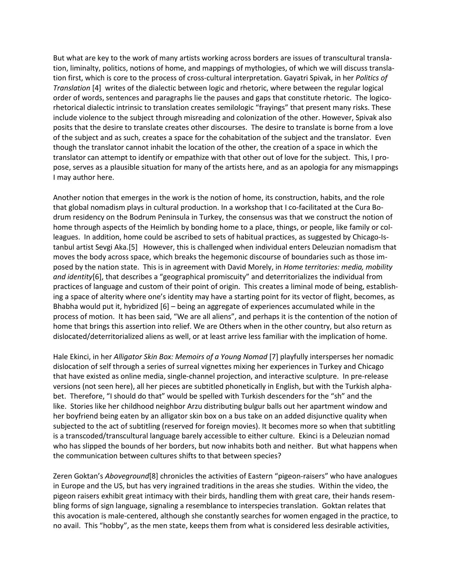But what are key to the work of many artists working across borders are issues of transcultural translation, liminalty, politics, notions of home, and mappings of mythologies, of which we will discuss translation first, which is core to the process of cross-cultural interpretation. Gayatri Spivak, in her *Politics of Translation* [4] writes of the dialectic between logic and rhetoric, where between the regular logical order of words, sentences and paragraphs lie the pauses and gaps that constitute rhetoric. The logicorhetorical dialectic intrinsic to translation creates semilologic "frayings" that present many risks. These include violence to the subject through misreading and colonization of the other. However, Spivak also posits that the desire to translate creates other discourses. The desire to translate is borne from a love of the subject and as such, creates a space for the cohabitation of the subject and the translator. Even though the translator cannot inhabit the location of the other, the creation of a space in which the translator can attempt to identify or empathize with that other out of love for the subject. This, I propose, serves as a plausible situation for many of the artists here, and as an apologia for any mismappings I may author here.

Another notion that emerges in the work is the notion of home, its construction, habits, and the role that global nomadism plays in cultural production. In a workshop that I co-facilitated at the Cura Bodrum residency on the Bodrum Peninsula in Turkey, the consensus was that we construct the notion of home through aspects of the Heimlich by bonding home to a place, things, or people, like family or colleagues. In addition, home could be ascribed to sets of habitual practices, as suggested by Chicago-Istanbul artist Sevgi Aka.[5] However, this is challenged when individual enters Deleuzian nomadism that moves the body across space, which breaks the hegemonic discourse of boundaries such as those imposed by the nation state. This is in agreement with David Morely, in *Home territories: media, mobility and identity*[6], that describes a "geographical promiscuity" and deterritorializes the individual from practices of language and custom of their point of origin. This creates a liminal mode of being, establishing a space of alterity where one's identity may have a starting point for its vector of flight, becomes, as Bhabha would put it, hybridized [6] – being an aggregate of experiences accumulated while in the process of motion. It has been said, "We are all aliens", and perhaps it is the contention of the notion of home that brings this assertion into relief. We are Others when in the other country, but also return as dislocated/deterritorialized aliens as well, or at least arrive less familiar with the implication of home.

Hale Ekinci, in her *Alligator Skin Box: Memoirs of a Young Nomad* [7] playfully intersperses her nomadic dislocation of self through a series of surreal vignettes mixing her experiences in Turkey and Chicago that have existed as online media, single-channel projection, and interactive sculpture. In pre-release versions (not seen here), all her pieces are subtitled phonetically in English, but with the Turkish alphabet. Therefore, "I should do that" would be spelled with Turkish descenders for the "sh" and the like. Stories like her childhood neighbor Arzu distributing bulgur balls out her apartment window and her boyfriend being eaten by an alligator skin box on a bus take on an added disjunctive quality when subjected to the act of subtitling (reserved for foreign movies). It becomes more so when that subtitling is a transcoded/transcultural language barely accessible to either culture. Ekinci is a Deleuzian nomad who has slipped the bounds of her borders, but now inhabits both and neither. But what happens when the communication between cultures shifts to that between species?

Zeren Goktan's *Aboveground*[8] chronicles the activities of Eastern "pigeon-raisers" who have analogues in Europe and the US, but has very ingrained traditions in the areas she studies. Within the video, the pigeon raisers exhibit great intimacy with their birds, handling them with great care, their hands resembling forms of sign language, signaling a resemblance to interspecies translation. Goktan relates that this avocation is male-centered, although she constantly searches for women engaged in the practice, to no avail. This "hobby", as the men state, keeps them from what is considered less desirable activities,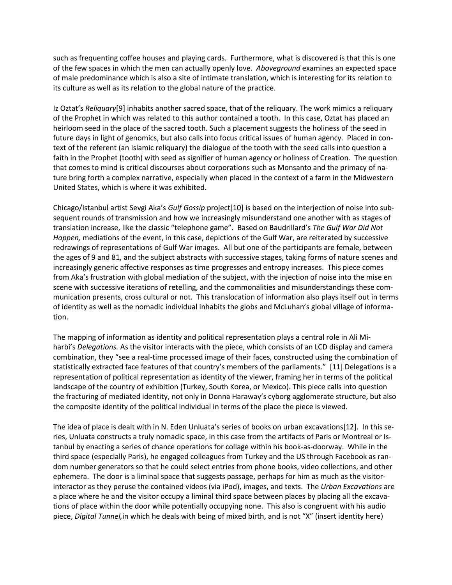such as frequenting coffee houses and playing cards. Furthermore, what is discovered is that this is one of the few spaces in which the men can actually openly love. *Aboveground* examines an expected space of male predominance which is also a site of intimate translation, which is interesting for its relation to its culture as well as its relation to the global nature of the practice.

Iz Oztat's *Reliquary*[9] inhabits another sacred space, that of the reliquary. The work mimics a reliquary of the Prophet in which was related to this author contained a tooth. In this case, Oztat has placed an heirloom seed in the place of the sacred tooth. Such a placement suggests the holiness of the seed in future days in light of genomics, but also calls into focus critical issues of human agency. Placed in context of the referent (an Islamic reliquary) the dialogue of the tooth with the seed calls into question a faith in the Prophet (tooth) with seed as signifier of human agency or holiness of Creation. The question that comes to mind is critical discourses about corporations such as Monsanto and the primacy of nature bring forth a complex narrative, especially when placed in the context of a farm in the Midwestern United States, which is where it was exhibited.

Chicago/Istanbul artist Sevgi Aka's *Gulf Gossip* project[10] is based on the interjection of noise into subsequent rounds of transmission and how we increasingly misunderstand one another with as stages of translation increase, like the classic "telephone game". Based on Baudrillard's *The Gulf War Did Not Happen,* mediations of the event, in this case, depictions of the Gulf War, are reiterated by successive redrawings of representations of Gulf War images. All but one of the participants are female, between the ages of 9 and 81, and the subject abstracts with successive stages, taking forms of nature scenes and increasingly generic affective responses as time progresses and entropy increases. This piece comes from Aka's frustration with global mediation of the subject, with the injection of noise into the mise en scene with successive iterations of retelling, and the commonalities and misunderstandings these communication presents, cross cultural or not. This translocation of information also plays itself out in terms of identity as well as the nomadic individual inhabits the globs and McLuhan's global village of information.

The mapping of information as identity and political representation plays a central role in Ali Miharbi's *Delegations.* As the visitor interacts with the piece, which consists of an LCD display and camera combination, they "see a real-time processed image of their faces, constructed using the combination of statistically extracted face features of that country's members of the parliaments." [11] Delegations is a representation of political representation as identity of the viewer, framing her in terms of the political landscape of the country of exhibition (Turkey, South Korea, or Mexico). This piece calls into question the fracturing of mediated identity, not only in Donna Haraway's cyborg agglomerate structure, but also the composite identity of the political individual in terms of the place the piece is viewed.

The idea of place is dealt with in N. Eden Unluata's series of books on urban excavations[12]. In this series, Unluata constructs a truly nomadic space, in this case from the artifacts of Paris or Montreal or Istanbul by enacting a series of chance operations for collage within his book-as-doorway. While in the third space (especially Paris), he engaged colleagues from Turkey and the US through Facebook as random number generators so that he could select entries from phone books, video collections, and other ephemera. The door is a liminal space that suggests passage, perhaps for him as much as the visitorinteractor as they peruse the contained videos (via iPod), images, and texts. The *Urban Excavations* are a place where he and the visitor occupy a liminal third space between places by placing all the excavations of place within the door while potentially occupying none. This also is congruent with his audio piece, *Digital Tunnel,*in which he deals with being of mixed birth, and is not "X" (insert identity here)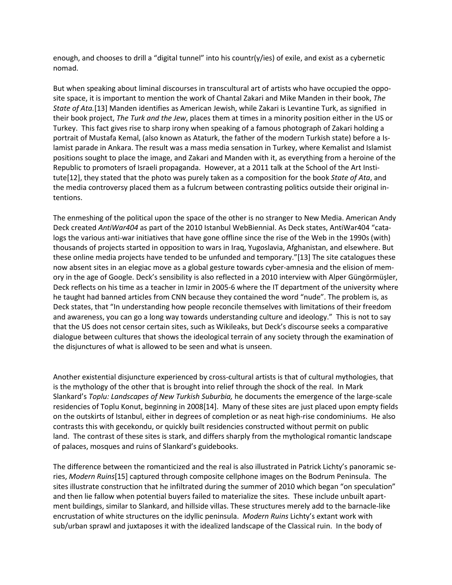enough, and chooses to drill a "digital tunnel" into his countr(y/ies) of exile, and exist as a cybernetic nomad.

But when speaking about liminal discourses in transcultural art of artists who have occupied the opposite space, it is important to mention the work of Chantal Zakari and Mike Manden in their book, *The State of Ata.*[13] Manden identifies as American Jewish, while Zakari is Levantine Turk, as signified in their book project, *The Turk and the Jew*, places them at times in a minority position either in the US or Turkey. This fact gives rise to sharp irony when speaking of a famous photograph of Zakari holding a portrait of Mustafa Kemal, (also known as Ataturk, the father of the modern Turkish state) before a Islamist parade in Ankara. The result was a mass media sensation in Turkey, where Kemalist and Islamist positions sought to place the image, and Zakari and Manden with it, as everything from a heroine of the Republic to promoters of Israeli propaganda. However, at a 2011 talk at the School of the Art Institute[12], they stated that the photo was purely taken as a composition for the book *State of Ata*, and the media controversy placed them as a fulcrum between contrasting politics outside their original intentions.

The enmeshing of the political upon the space of the other is no stranger to New Media. American Andy Deck created *AntiWar404* as part of the 2010 Istanbul WebBiennial. As Deck states, AntiWar404 "catalogs the various anti-war initiatives that have gone offline since the rise of the Web in the 1990s (with) thousands of projects started in opposition to wars in Iraq, Yugoslavia, Afghanistan, and elsewhere. But these online media projects have tended to be unfunded and temporary."[13] The site catalogues these now absent sites in an elegiac move as a global gesture towards cyber-amnesia and the elision of memory in the age of Google. Deck's sensibility is also reflected in a 2010 interview with Alper Güngörmüşler, Deck reflects on his time as a teacher in Izmir in 2005-6 where the IT department of the university where he taught had banned articles from CNN because they contained the word "nude". The problem is, as Deck states, that "In understanding how people reconcile themselves with limitations of their freedom and awareness, you can go a long way towards understanding culture and ideology." This is not to say that the US does not censor certain sites, such as Wikileaks, but Deck's discourse seeks a comparative dialogue between cultures that shows the ideological terrain of any society through the examination of the disjunctures of what is allowed to be seen and what is unseen.

Another existential disjuncture experienced by cross-cultural artists is that of cultural mythologies, that is the mythology of the other that is brought into relief through the shock of the real. In Mark Slankard's *Toplu: Landscapes of New Turkish Suburbia,* he documents the emergence of the large-scale residencies of Toplu Konut, beginning in 2008[14]. Many of these sites are just placed upon empty fields on the outskirts of Istanbul, either in degrees of completion or as neat high-rise condominiums. He also contrasts this with gecekondu, or quickly built residencies constructed without permit on public land. The contrast of these sites is stark, and differs sharply from the mythological romantic landscape of palaces, mosques and ruins of Slankard's guidebooks.

The difference between the romanticized and the real is also illustrated in Patrick Lichty's panoramic series, *Modern Ruins*[15] captured through composite cellphone images on the Bodrum Peninsula. The sites illustrate construction that he infiltrated during the summer of 2010 which began "on speculation" and then lie fallow when potential buyers failed to materialize the sites. These include unbuilt apartment buildings, similar to Slankard, and hillside villas. These structures merely add to the barnacle-like encrustation of white structures on the idyllic peninsula. *Modern Ruins* Lichty's extant work with sub/urban sprawl and juxtaposes it with the idealized landscape of the Classical ruin. In the body of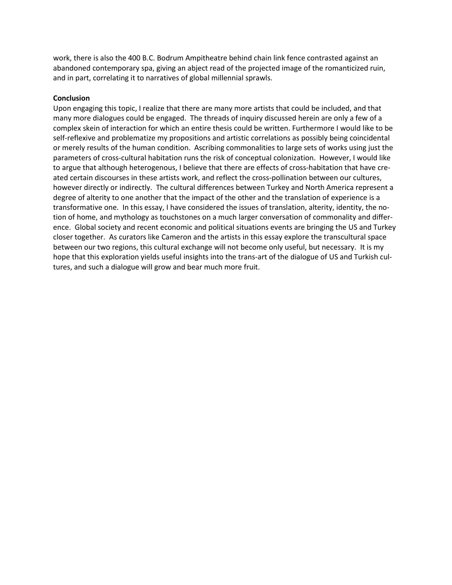work, there is also the 400 B.C. Bodrum Ampitheatre behind chain link fence contrasted against an abandoned contemporary spa, giving an abject read of the projected image of the romanticized ruin, and in part, correlating it to narratives of global millennial sprawls.

## **Conclusion**

Upon engaging this topic, I realize that there are many more artists that could be included, and that many more dialogues could be engaged. The threads of inquiry discussed herein are only a few of a complex skein of interaction for which an entire thesis could be written. Furthermore I would like to be self-reflexive and problematize my propositions and artistic correlations as possibly being coincidental or merely results of the human condition. Ascribing commonalities to large sets of works using just the parameters of cross-cultural habitation runs the risk of conceptual colonization. However, I would like to argue that although heterogenous, I believe that there are effects of cross-habitation that have created certain discourses in these artists work, and reflect the cross-pollination between our cultures, however directly or indirectly. The cultural differences between Turkey and North America represent a degree of alterity to one another that the impact of the other and the translation of experience is a transformative one. In this essay, I have considered the issues of translation, alterity, identity, the notion of home, and mythology as touchstones on a much larger conversation of commonality and difference. Global society and recent economic and political situations events are bringing the US and Turkey closer together. As curators like Cameron and the artists in this essay explore the transcultural space between our two regions, this cultural exchange will not become only useful, but necessary. It is my hope that this exploration yields useful insights into the trans-art of the dialogue of US and Turkish cultures, and such a dialogue will grow and bear much more fruit.